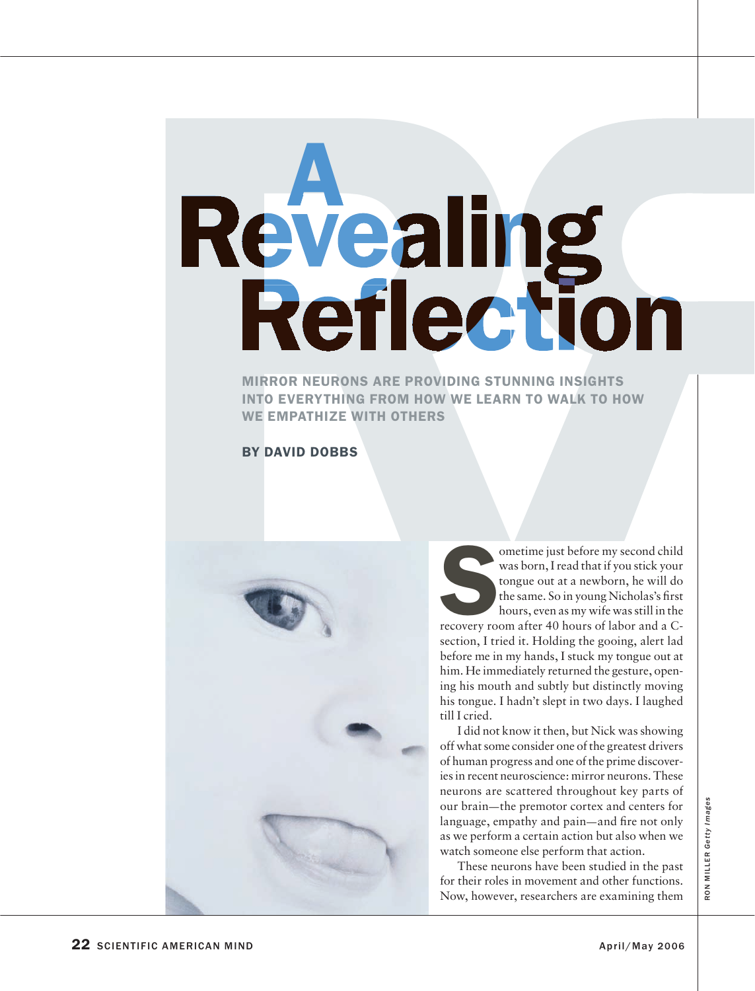# Reflection and EUROPE CONTRACTED IN THE CONTRACTED IN THE CONTRACTED IN THE CONTRACTED IN THE CONTRACTED IN THE CONTRACTED IN THE CONTRACTED IN THE CONTRACTED IN THE CONTRACTED IN THE CONTRACTED IN THE CONTRACTED IN THE CO

MIRROR NEURONS ARE PROVIDING STUNNING INSIGHTS INTO EVERYTHING FROM HOW WE LEARN TO WALK TO HOW WE EMPATHIZE WITH OTHERS

BY DAVID DOBBS



ometime just before my second child<br>was born, I read that if you stick your<br>tongue out at a newborn, he will do<br>the same. So in young Nicholas's first<br>hours, even as my wife was still in the<br>recovery room after 40 hours of ometime just before my second child was born, I read that if you stick your tongue out at a newborn, he will do the same. So in young Nicholas's first hours, even as my wife was still in the section, I tried it. Holding the gooing, alert lad before me in my hands, I stuck my tongue out at him. He immediately returned the gesture, opening his mouth and subtly but distinctly moving his tongue. I hadn't slept in two days. I laughed till I cried.

I did not know it then, but Nick was showing off what some consider one of the greatest drivers of human progress and one of the prime discoveries in recent neuroscience: mirror neurons. These neurons are scattered throughout key parts of our brain—the premotor cortex and centers for language, empathy and pain—and fire not only as we perform a certain action but also when we watch someone else perform that action.

These neurons have been studied in the past for their roles in movement and other functions. Now, however, researchers are examining them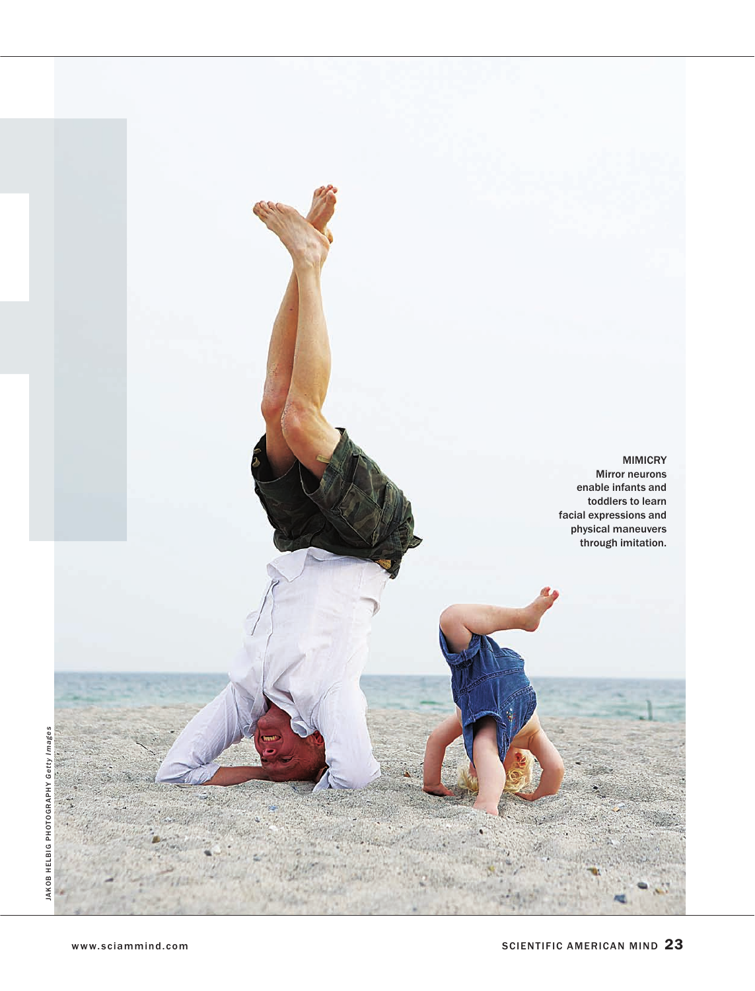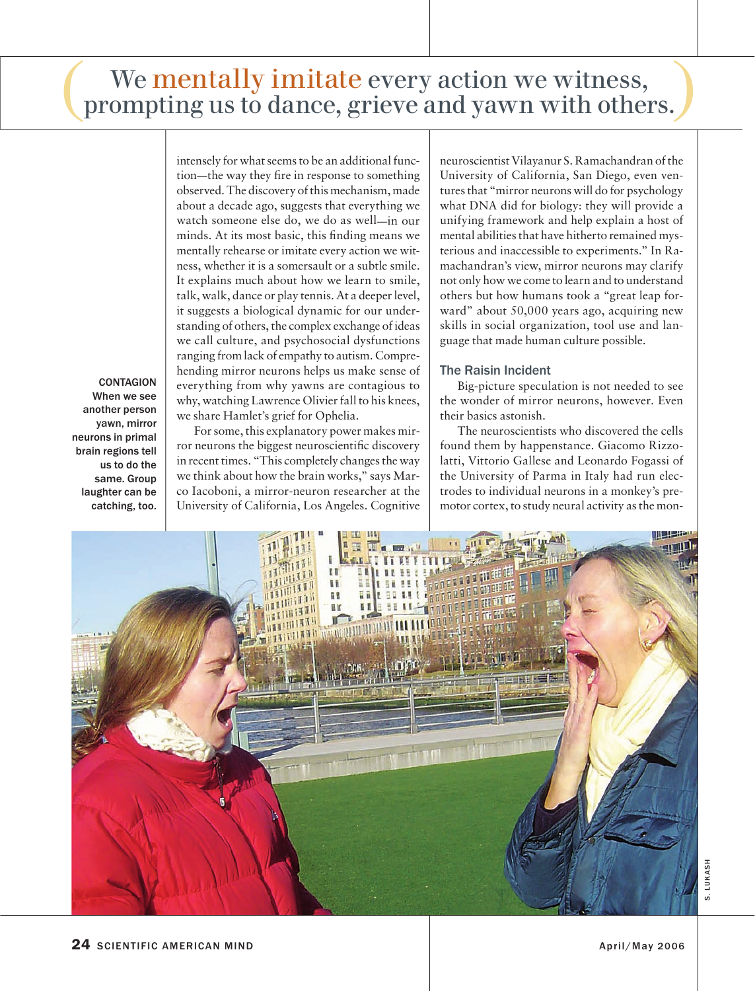intensely for what seems to be an additional function—the way they fire in response to something observed. The discovery of this mechanism, made about a decade ago, suggests that everything we watch someone else do, we do as well—in our minds. At its most basic, this finding means we mentally rehearse or imitate every action we witness, whether it is a somersault or a subtle smile. It explains much about how we learn to smile, talk, walk, dance or play tennis. At a deeper level, it suggests a biological dynamic for our understanding of others, the complex exchange of ideas we call culture, and psychosocial dysfunctions ranging from lack of empathy to autism. Comprehending mirror neurons helps us make sense of everything from why yawns are contagious to why, watching Lawrence Olivier fall to his knees, we share Hamlet's grief for Ophelia.

When we see another person yawn, mirror neurons in primal brain regions tell us to do the

> same. Group laughter can be catching, too.

**CONTAGION** 

For some, this explanatory power makes mirror neurons the biggest neuroscientific discovery in recent times. "This completely changes the way we think about how the brain works," says Marco Iacoboni, a mirror-neuron researcher at the University of California, Los Angeles. Cognitive

neuroscientist Vilayanur S. Ramachandran of the University of California, San Diego, even ventures that "mirror neurons will do for psychology what DNA did for biology: they will provide a unifying framework and help explain a host of mental abilities that have hitherto remained mysterious and inaccessible to experiments." In Ramachandran's view, mirror neurons may clarify not only how we come to learn and to understand others but how humans took a "great leap forward" about 50,000 years ago, acquiring new skills in social organization, tool use and language that made human culture possible.

# The Raisin Incident

Big-picture speculation is not needed to see the wonder of mirror neurons, however. Even their basics astonish.

The neuroscientists who discovered the cells found them by happenstance. Giacomo Rizzolatti, Vittorio Gallese and Leonardo Fogassi of the University of Parma in Italy had run electrodes to individual neurons in a monkey's premotor cortex, to study neural activity as the mon-

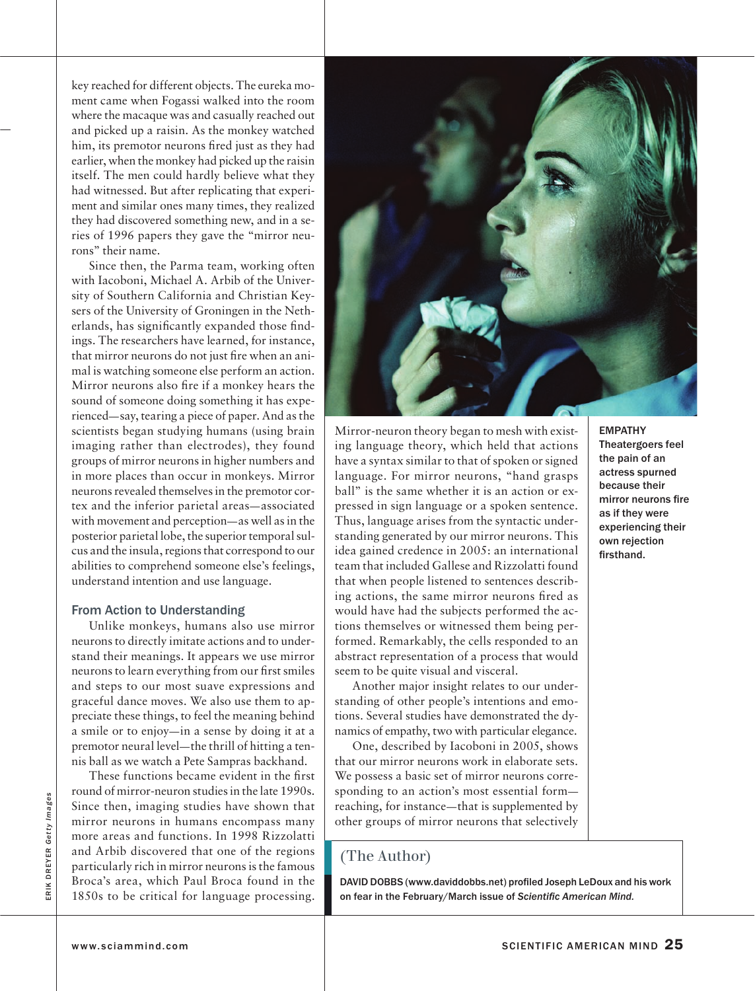key reached for different objects. The eureka moment came when Fogassi walked into the room where the macaque was and casually reached out and picked up a raisin. As the monkey watched him, its premotor neurons fired just as they had earlier, when the monkey had picked up the raisin itself. The men could hardly believe what they had witnessed. But after replicating that experiment and similar ones many times, they realized they had discovered something new, and in a series of 1996 papers they gave the "mirror neurons" their name.

Since then, the Parma team, working often with Iacoboni, Michael A. Arbib of the University of Southern California and Christian Keysers of the University of Groningen in the Netherlands, has significantly expanded those findings. The researchers have learned, for instance, that mirror neurons do not just fire when an animal is watching someone else perform an action. Mirror neurons also fire if a monkey hears the sound of someone doing something it has experienced—say, tearing a piece of paper. And as the scientists began studying humans (using brain imaging rather than electrodes), they found groups of mirror neurons in higher numbers and in more places than occur in monkeys. Mirror neurons revealed themselves in the premotor cortex and the inferior parietal areas—associated with movement and perception—as well as in the posterior parietal lobe, the superior temporal sulcus and the insula, regions that correspond to our abilities to comprehend someone else's feelings, understand intention and use language.

### From Action to Understanding

Unlike monkeys, humans also use mirror neurons to directly imitate actions and to understand their meanings. It appears we use mirror neurons to learn everything from our first smiles and steps to our most suave expressions and graceful dance moves. We also use them to appreciate these things, to feel the meaning behind a smile or to enjoy—in a sense by doing it at a premotor neural level—the thrill of hitting a tennis ball as we watch a Pete Sampras backhand.

These functions became evident in the first round of mirror-neuron studies in the late 1990s. Since then, imaging studies have shown that mirror neurons in humans encompass many more areas and functions. In 1998 Rizzolatti and Arbib discovered that one of the regions particularly rich in mirror neurons is the famous Broca's area, which Paul Broca found in the 1850s to be critical for language processing.



Mirror-neuron theory began to mesh with existing language theory, which held that actions have a syntax similar to that of spoken or signed language. For mirror neurons, "hand grasps ball" is the same whether it is an action or expressed in sign language or a spoken sentence. Thus, language arises from the syntactic understanding generated by our mirror neurons. This idea gained credence in 2005: an international team that included Gallese and Rizzolatti found that when people listened to sentences describing actions, the same mirror neurons fired as would have had the subjects performed the actions themselves or witnessed them being performed. Remarkably, the cells responded to an abstract representation of a process that would seem to be quite visual and visceral.

Another major insight relates to our understanding of other people's intentions and emotions. Several studies have demonstrated the dynamics of empathy, two with particular elegance.

One, described by Iacoboni in 2005, shows that our mirror neurons work in elaborate sets. We possess a basic set of mirror neurons corresponding to an action's most essential form reaching, for instance—that is supplemented by other groups of mirror neurons that selectively

# (The Author)

DAVID DOBBS (www.daviddobbs.net) profiled Joseph LeDoux and his work on fear in the February/March issue of *Scientific American Mind.* 

EMPATHY Theatergoers feel the pain of an actress spurned because their mirror neurons fire as if they were experiencing their own rejection firsthand.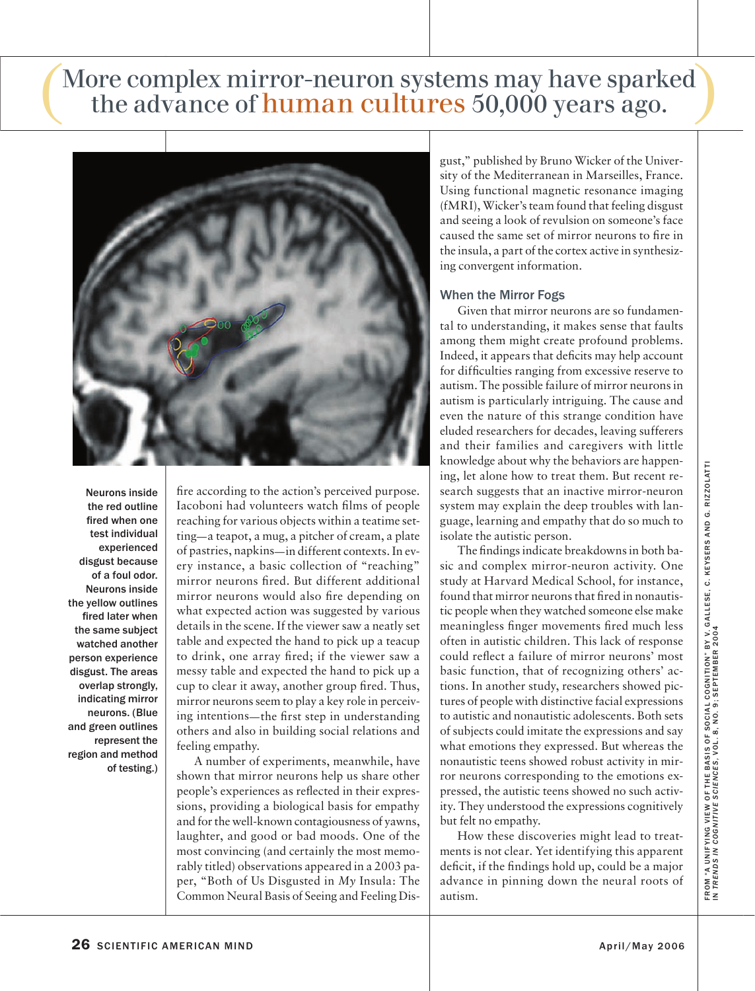# More complex mirror-neuron systems may have sparked the advance of human cultures 50,000 years ago.



Neurons inside the red outline fired when one test individual experienced disgust because of a foul odor. Neurons inside the yellow outlines fired later when the same subject watched another person experience disgust. The areas overlap strongly, indicating mirror neurons. (Blue and green outlines represent the region and method of testing.)

fire according to the action's perceived purpose. Iacoboni had volunteers watch films of people reaching for various objects within a teatime setting—a teapot, a mug, a pitcher of cream, a plate of pastries, napkins—in different contexts. In every instance, a basic collection of "reaching" mirror neurons fired. But different additional mirror neurons would also fire depending on what expected action was suggested by various details in the scene. If the viewer saw a neatly set table and expected the hand to pick up a teacup to drink, one array fired; if the viewer saw a messy table and expected the hand to pick up a cup to clear it away, another group fired. Thus, mirror neurons seem to play a key role in perceiving intentions—the first step in understanding others and also in building social relations and feeling empathy.

A number of experiments, meanwhile, have shown that mirror neurons help us share other people's experiences as reflected in their expressions, providing a biological basis for empathy and for the well-known contagiousness of yawns, laughter, and good or bad moods. One of the most convincing (and certainly the most memorably titled) observations appeared in a 2003 paper, "Both of Us Disgusted in *My* Insula: The Common Neural Basis of Seeing and Feeling Disgust," published by Bruno Wicker of the University of the Mediterranean in Marseilles, France. Using functional magnetic resonance imaging (fMRI), Wicker's team found that feeling disgust and seeing a look of revulsion on someone's face caused the same set of mirror neurons to fire in the insula, a part of the cortex active in synthesizing convergent information.

# When the Mirror Fogs

Given that mirror neurons are so fundamental to understanding, it makes sense that faults among them might create profound problems. Indeed, it appears that deficits may help account for difficulties ranging from excessive reserve to autism. The possible failure of mirror neurons in autism is particularly intriguing. The cause and even the nature of this strange condition have eluded researchers for decades, leaving sufferers and their families and caregivers with little knowledge about why the behaviors are happening, let alone how to treat them. But recent research suggests that an inactive mirror-neuron system may explain the deep troubles with language, learning and empathy that do so much to isolate the autistic person.

The findings indicate breakdowns in both basic and complex mirror-neuron activity. One study at Harvard Medical School, for instance, found that mirror neurons that fired in nonautistic people when they watched someone else make meaningless finger movements fired much less often in autistic children. This lack of response could reflect a failure of mirror neurons' most basic function, that of recognizing others' actions. In another study, researchers showed pictures of people with distinctive facial expressions to autistic and nonautistic adolescents. Both sets of subjects could imitate the expressions and say what emotions they expressed. But whereas the nonautistic teens showed robust activity in mirror neurons corresponding to the emotions expressed, the autistic teens showed no such activity. They understood the expressions cognitively but felt no empathy.

How these discoveries might lead to treatments is not clear. Yet identifying this apparent deficit, if the findings hold up, could be a major advance in pinning down the neural roots of autism.